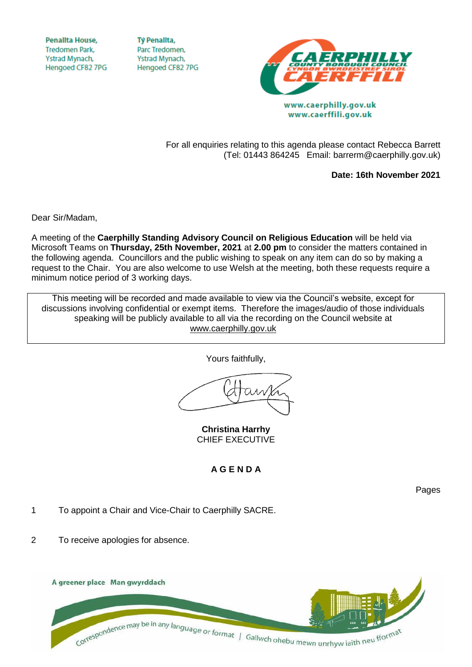**Penallta House, Tredomen Park.** Ystrad Mynach, Hengoed CF82 7PG

**TV Penallta,** Parc Tredomen. Ystrad Mynach, Hengoed CF82 7PG



www.caerphilly.gov.uk www.caerffili.gov.uk

For all enquiries relating to this agenda please contact Rebecca Barrett (Tel: 01443 864245 Email: barrerm@caerphilly.gov.uk)

**Date: 16th November 2021**

Dear Sir/Madam,

A meeting of the **Caerphilly Standing Advisory Council on Religious Education** will be held via Microsoft Teams on **Thursday, 25th November, 2021** at **2.00 pm** to consider the matters contained in the following agenda. Councillors and the public wishing to speak on any item can do so by making a request to the Chair. You are also welcome to use Welsh at the meeting, both these requests require a minimum notice period of 3 working days.

This meeting will be recorded and made available to view via the Council's website, except for discussions involving confidential or exempt items. Therefore the images/audio of those individuals speaking will be publicly available to all via the recording on the Council website at [www.caerphilly.gov.uk](http://www.caerphilly.gov.uk/)

Yours faithfully,

**Christina Harrhy** CHIEF EXECUTIVE

## **A G E N D A**

Pages

1 To appoint a Chair and Vice-Chair to Caerphilly SACRE.

2 To receive apologies for absence.

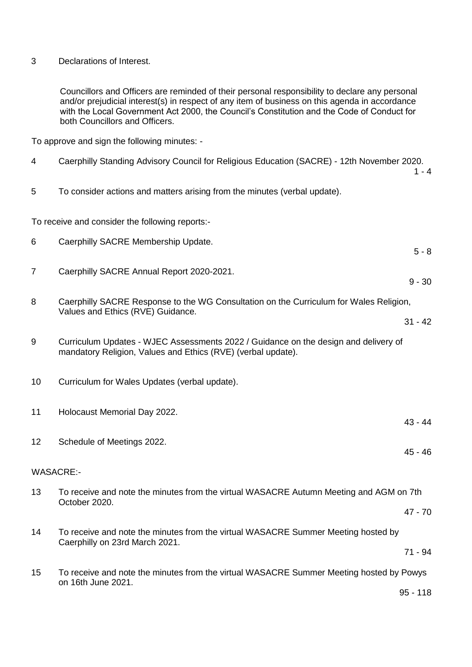Declarations of Interest.

Councillors and Officers are reminded of their personal responsibility to declare any personal and/or prejudicial interest(s) in respect of any item of business on this agenda in accordance with the Local Government Act 2000, the Council's Constitution and the Code of Conduct for both Councillors and Officers.

To approve and sign the following minutes: -

| 4                                                                                           | Caerphilly Standing Advisory Council for Religious Education (SACRE) - 12th November 2020.<br>$1 - 4$                                               |
|---------------------------------------------------------------------------------------------|-----------------------------------------------------------------------------------------------------------------------------------------------------|
| 5                                                                                           | To consider actions and matters arising from the minutes (verbal update).                                                                           |
| To receive and consider the following reports:-                                             |                                                                                                                                                     |
| 6                                                                                           | Caerphilly SACRE Membership Update.<br>$5 - 8$                                                                                                      |
| $\overline{7}$                                                                              | Caerphilly SACRE Annual Report 2020-2021.<br>$9 - 30$                                                                                               |
| 8<br>Caerphilly SACRE Response to the WG Consultation on the Curriculum for Wales Religion, |                                                                                                                                                     |
|                                                                                             | Values and Ethics (RVE) Guidance.<br>$31 - 42$                                                                                                      |
| 9                                                                                           | Curriculum Updates - WJEC Assessments 2022 / Guidance on the design and delivery of<br>mandatory Religion, Values and Ethics (RVE) (verbal update). |
| 10                                                                                          | Curriculum for Wales Updates (verbal update).                                                                                                       |
| 11                                                                                          | Holocaust Memorial Day 2022.<br>$43 - 44$                                                                                                           |
| 12                                                                                          | Schedule of Meetings 2022.<br>$45 - 46$                                                                                                             |
| <b>WASACRE:-</b>                                                                            |                                                                                                                                                     |
| 13                                                                                          | To receive and note the minutes from the virtual WASACRE Autumn Meeting and AGM on 7th<br>October 2020.                                             |
|                                                                                             | $47 - 70$                                                                                                                                           |
| 14                                                                                          | To receive and note the minutes from the virtual WASACRE Summer Meeting hosted by                                                                   |
|                                                                                             | Caerphilly on 23rd March 2021.<br>$71 - 94$                                                                                                         |
| 15                                                                                          | To receive and note the minutes from the virtual WASACRE Summer Meeting hosted by Powys                                                             |
|                                                                                             | on 16th June 2021.<br>$95 - 118$                                                                                                                    |
|                                                                                             |                                                                                                                                                     |